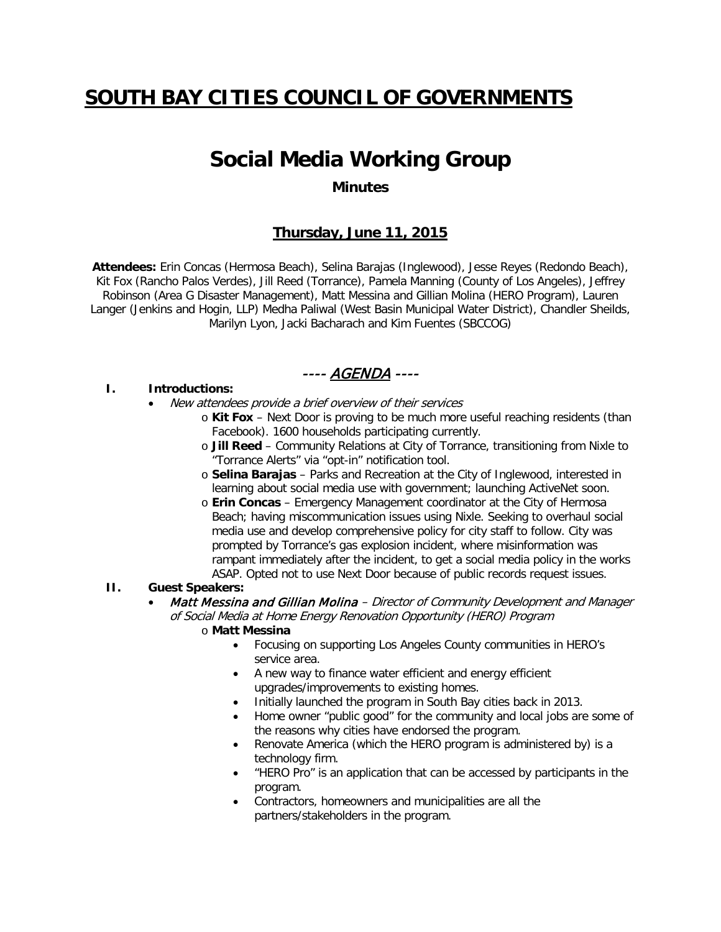# **SOUTH BAY CITIES COUNCIL OF GOVERNMENTS**

# **Social Media Working Group**

#### **Minutes**

# **Thursday, June 11, 2015**

**Attendees:** Erin Concas (Hermosa Beach), Selina Barajas (Inglewood), Jesse Reyes (Redondo Beach), Kit Fox (Rancho Palos Verdes), Jill Reed (Torrance), Pamela Manning (County of Los Angeles), Jeffrey Robinson (Area G Disaster Management), Matt Messina and Gillian Molina (HERO Program), Lauren Langer (Jenkins and Hogin, LLP) Medha Paliwal (West Basin Municipal Water District), Chandler Sheilds, Marilyn Lyon, Jacki Bacharach and Kim Fuentes (SBCCOG)

### ---- <u>AGENDA</u> ----

#### **I. Introductions:**

- New attendees provide a brief overview of their services
	- o **Kit Fox** Next Door is proving to be much more useful reaching residents (than Facebook). 1600 households participating currently.
	- o **Jill Reed** Community Relations at City of Torrance, transitioning from Nixle to "Torrance Alerts" via "opt-in" notification tool.
	- o **Selina Barajas** Parks and Recreation at the City of Inglewood, interested in learning about social media use with government; launching ActiveNet soon.
	- o **Erin Concas** Emergency Management coordinator at the City of Hermosa Beach; having miscommunication issues using Nixle. Seeking to overhaul social media use and develop comprehensive policy for city staff to follow. City was prompted by Torrance's gas explosion incident, where misinformation was rampant immediately after the incident, to get a social media policy in the works ASAP. Opted not to use Next Door because of public records request issues.

#### **II. Guest Speakers:**

- Matt Messina and Gillian Molina Director of Community Development and Manager of Social Media at Home Energy Renovation Opportunity (HERO) Program
	- o **Matt Messina**
		- Focusing on supporting Los Angeles County communities in HERO's service area.
		- A new way to finance water efficient and energy efficient upgrades/improvements to existing homes.
		- Initially launched the program in South Bay cities back in 2013.
		- Home owner "public good" for the community and local jobs are some of the reasons why cities have endorsed the program.
		- Renovate America (which the HERO program is administered by) is a technology firm.
		- "HERO Pro" is an application that can be accessed by participants in the program.
		- Contractors, homeowners and municipalities are all the partners/stakeholders in the program.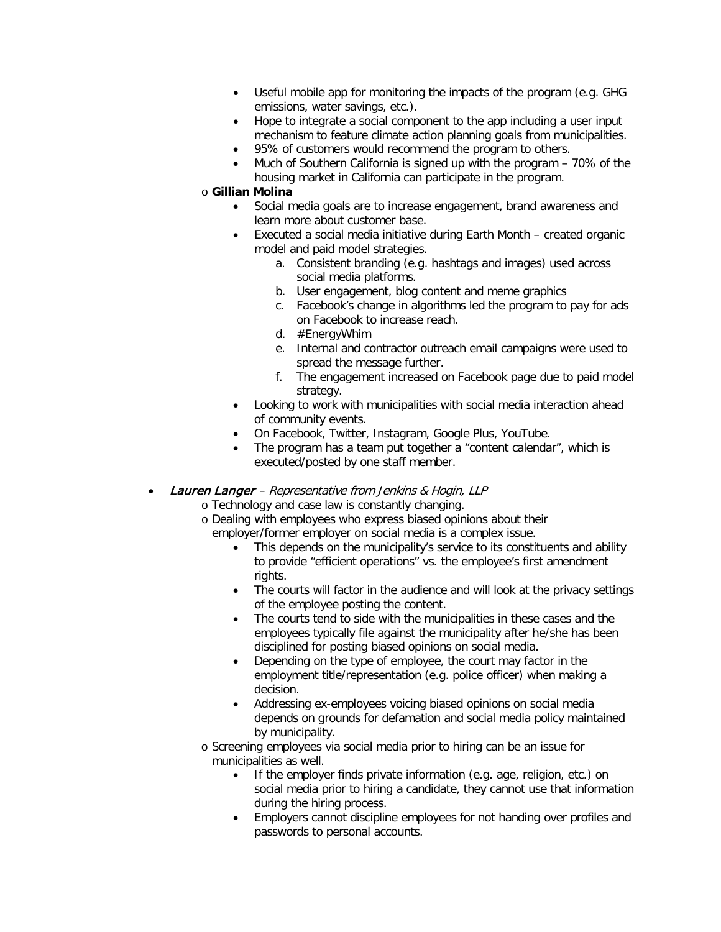- Useful mobile app for monitoring the impacts of the program (e.g. GHG emissions, water savings, etc.).
- Hope to integrate a social component to the app including a user input mechanism to feature climate action planning goals from municipalities.
- 95% of customers would recommend the program to others.
- Much of Southern California is signed up with the program 70% of the housing market in California can participate in the program.

#### o **Gillian Molina**

- Social media goals are to increase engagement, brand awareness and learn more about customer base.
- Executed a social media initiative during Earth Month created organic model and paid model strategies.
	- a. Consistent branding (e.g. hashtags and images) used across social media platforms.
	- b. User engagement, blog content and meme graphics
	- c. Facebook's change in algorithms led the program to pay for ads on Facebook to increase reach.
	- d. #EnergyWhim
	- e. Internal and contractor outreach email campaigns were used to spread the message further.
	- f. The engagement increased on Facebook page due to paid model strategy.
- Looking to work with municipalities with social media interaction ahead of community events.
- On Facebook, Twitter, Instagram, Google Plus, YouTube.
- The program has a team put together a "content calendar", which is executed/posted by one staff member.
- **Lauren Langer** Representative from Jenkins & Hogin, LLP
	- o Technology and case law is constantly changing.
	- o Dealing with employees who express biased opinions about their employer/former employer on social media is a complex issue.
		- This depends on the municipality's service to its constituents and ability to provide "efficient operations" vs. the employee's first amendment rights.
		- The courts will factor in the audience and will look at the privacy settings of the employee posting the content.
		- The courts tend to side with the municipalities in these cases and the employees typically file against the municipality after he/she has been disciplined for posting biased opinions on social media.
		- Depending on the type of employee, the court may factor in the employment title/representation (e.g. police officer) when making a decision.
		- Addressing ex-employees voicing biased opinions on social media depends on grounds for defamation and social media policy maintained by municipality.
	- o Screening employees via social media prior to hiring can be an issue for municipalities as well.
		- If the employer finds private information (e.g. age, religion, etc.) on social media prior to hiring a candidate, they cannot use that information during the hiring process.
		- Employers cannot discipline employees for not handing over profiles and passwords to personal accounts.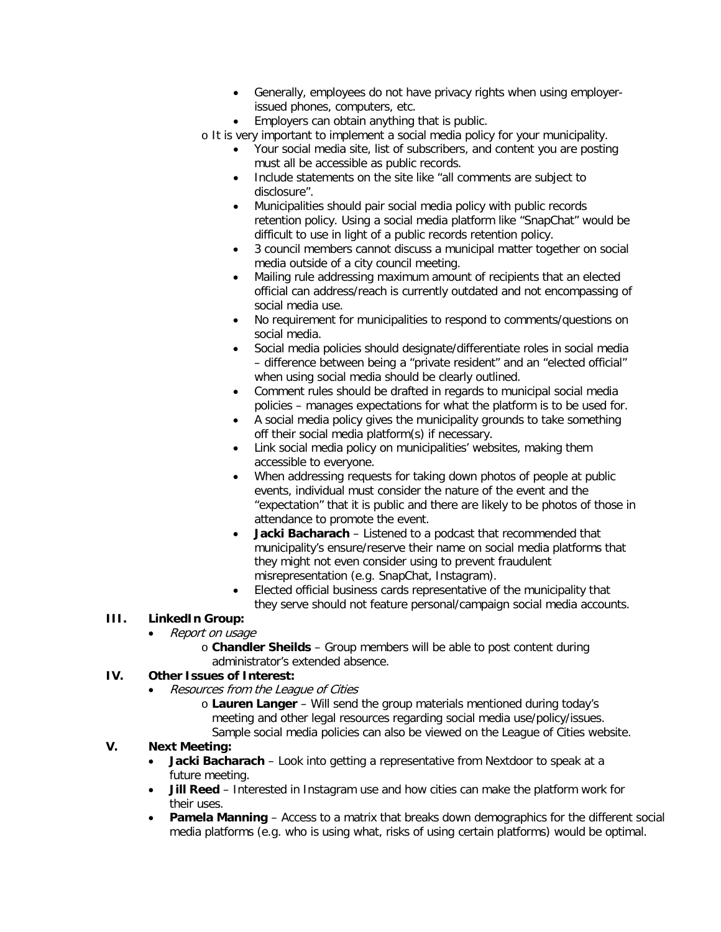- Generally, employees do not have privacy rights when using employerissued phones, computers, etc.
- Employers can obtain anything that is public.

o It is very important to implement a social media policy for your municipality.

- Your social media site, list of subscribers, and content you are posting must all be accessible as public records.
- Include statements on the site like "all comments are subject to disclosure".
- Municipalities should pair social media policy with public records retention policy. Using a social media platform like "SnapChat" would be difficult to use in light of a public records retention policy.
- 3 council members cannot discuss a municipal matter together on social media outside of a city council meeting.
- Mailing rule addressing maximum amount of recipients that an elected official can address/reach is currently outdated and not encompassing of social media use.
- No requirement for municipalities to respond to comments/questions on social media.
- Social media policies should designate/differentiate roles in social media – difference between being a "private resident" and an "elected official" when using social media should be clearly outlined.
- Comment rules should be drafted in regards to municipal social media policies – manages expectations for what the platform is to be used for.
- A social media policy gives the municipality grounds to take something off their social media platform(s) if necessary.
- Link social media policy on municipalities' websites, making them accessible to everyone.
- When addressing requests for taking down photos of people at public events, individual must consider the nature of the event and the "expectation" that it is public and there are likely to be photos of those in attendance to promote the event.
- **Jacki Bacharach** Listened to a podcast that recommended that municipality's ensure/reserve their name on social media platforms that they might not even consider using to prevent fraudulent misrepresentation (e.g. SnapChat, Instagram).
- Elected official business cards representative of the municipality that they serve should not feature personal/campaign social media accounts.

# **III. LinkedIn Group:**

- Report on usage
	- o **Chandler Sheilds** Group members will be able to post content during administrator's extended absence.

# **IV. Other Issues of Interest:**

- Resources from the League of Cities
	- o **Lauren Langer** Will send the group materials mentioned during today's meeting and other legal resources regarding social media use/policy/issues. Sample social media policies can also be viewed on the League of Cities website.

# **V. Next Meeting:**

- **Jacki Bacharach** Look into getting a representative from Nextdoor to speak at a future meeting.
- **Jill Reed** Interested in Instagram use and how cities can make the platform work for their uses.
- **Pamela Manning** Access to a matrix that breaks down demographics for the different social media platforms (e.g. who is using what, risks of using certain platforms) would be optimal.